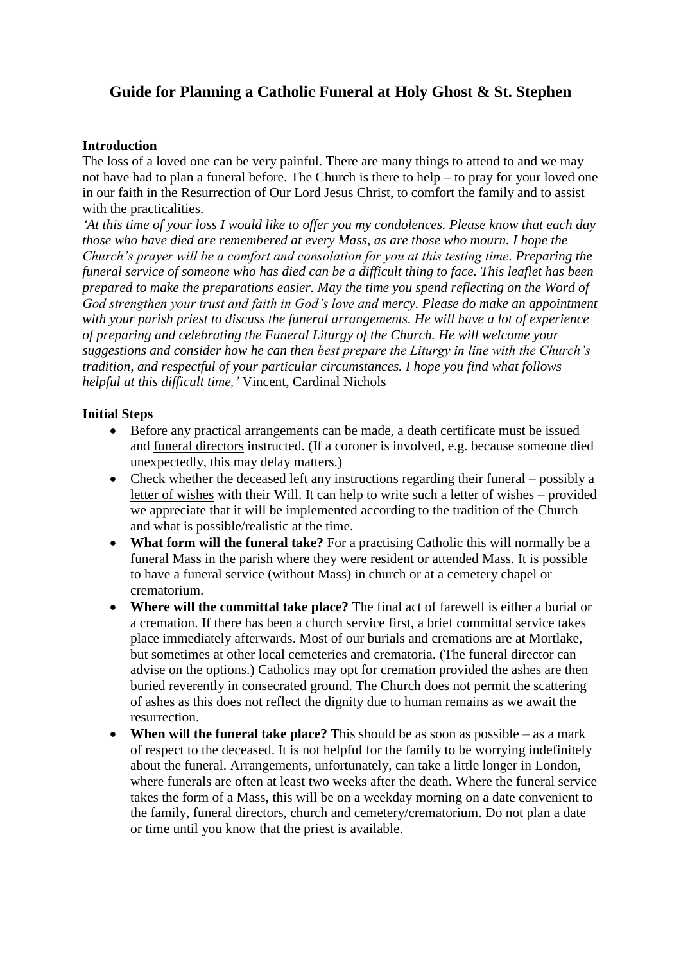# **Guide for Planning a Catholic Funeral at Holy Ghost & St. Stephen**

#### **Introduction**

The loss of a loved one can be very painful. There are many things to attend to and we may not have had to plan a funeral before. The Church is there to help – to pray for your loved one in our faith in the Resurrection of Our Lord Jesus Christ, to comfort the family and to assist with the practicalities.

*'At this time of your loss I would like to offer you my condolences. Please know that each day those who have died are remembered at every Mass, as are those who mourn. I hope the Church's prayer will be a comfort and consolation for you at this testing time. Preparing the funeral service of someone who has died can be a difficult thing to face. This leaflet has been prepared to make the preparations easier. May the time you spend reflecting on the Word of God strengthen your trust and faith in God's love and mercy. Please do make an appointment with your parish priest to discuss the funeral arrangements. He will have a lot of experience of preparing and celebrating the Funeral Liturgy of the Church. He will welcome your suggestions and consider how he can then best prepare the Liturgy in line with the Church's tradition, and respectful of your particular circumstances. I hope you find what follows helpful at this difficult time,'* Vincent, Cardinal Nichols

# **Initial Steps**

- Before any practical arrangements can be made, a death certificate must be issued and funeral directors instructed. (If a coroner is involved, e.g. because someone died unexpectedly, this may delay matters.)
- Check whether the deceased left any instructions regarding their funeral possibly a letter of wishes with their Will. It can help to write such a letter of wishes – provided we appreciate that it will be implemented according to the tradition of the Church and what is possible/realistic at the time.
- **What form will the funeral take?** For a practising Catholic this will normally be a funeral Mass in the parish where they were resident or attended Mass. It is possible to have a funeral service (without Mass) in church or at a cemetery chapel or crematorium.
- **Where will the committal take place?** The final act of farewell is either a burial or a cremation. If there has been a church service first, a brief committal service takes place immediately afterwards. Most of our burials and cremations are at Mortlake, but sometimes at other local cemeteries and crematoria. (The funeral director can advise on the options.) Catholics may opt for cremation provided the ashes are then buried reverently in consecrated ground. The Church does not permit the scattering of ashes as this does not reflect the dignity due to human remains as we await the resurrection.
- **When will the funeral take place?** This should be as soon as possible as a mark of respect to the deceased. It is not helpful for the family to be worrying indefinitely about the funeral. Arrangements, unfortunately, can take a little longer in London, where funerals are often at least two weeks after the death. Where the funeral service takes the form of a Mass, this will be on a weekday morning on a date convenient to the family, funeral directors, church and cemetery/crematorium. Do not plan a date or time until you know that the priest is available.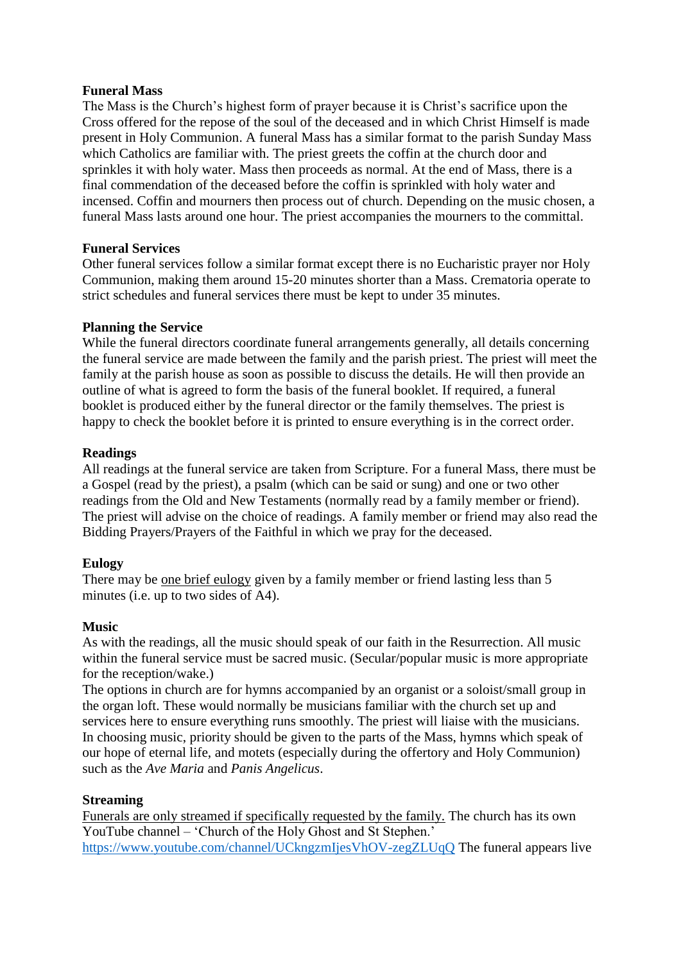#### **Funeral Mass**

The Mass is the Church's highest form of prayer because it is Christ's sacrifice upon the Cross offered for the repose of the soul of the deceased and in which Christ Himself is made present in Holy Communion. A funeral Mass has a similar format to the parish Sunday Mass which Catholics are familiar with. The priest greets the coffin at the church door and sprinkles it with holy water. Mass then proceeds as normal. At the end of Mass, there is a final commendation of the deceased before the coffin is sprinkled with holy water and incensed. Coffin and mourners then process out of church. Depending on the music chosen, a funeral Mass lasts around one hour. The priest accompanies the mourners to the committal.

# **Funeral Services**

Other funeral services follow a similar format except there is no Eucharistic prayer nor Holy Communion, making them around 15-20 minutes shorter than a Mass. Crematoria operate to strict schedules and funeral services there must be kept to under 35 minutes.

# **Planning the Service**

While the funeral directors coordinate funeral arrangements generally, all details concerning the funeral service are made between the family and the parish priest. The priest will meet the family at the parish house as soon as possible to discuss the details. He will then provide an outline of what is agreed to form the basis of the funeral booklet. If required, a funeral booklet is produced either by the funeral director or the family themselves. The priest is happy to check the booklet before it is printed to ensure everything is in the correct order.

# **Readings**

All readings at the funeral service are taken from Scripture. For a funeral Mass, there must be a Gospel (read by the priest), a psalm (which can be said or sung) and one or two other readings from the Old and New Testaments (normally read by a family member or friend). The priest will advise on the choice of readings. A family member or friend may also read the Bidding Prayers/Prayers of the Faithful in which we pray for the deceased.

# **Eulogy**

There may be <u>one brief eulogy</u> given by a family member or friend lasting less than 5 minutes (i.e. up to two sides of A4).

# **Music**

As with the readings, all the music should speak of our faith in the Resurrection. All music within the funeral service must be sacred music. (Secular/popular music is more appropriate for the reception/wake.)

The options in church are for hymns accompanied by an organist or a soloist/small group in the organ loft. These would normally be musicians familiar with the church set up and services here to ensure everything runs smoothly. The priest will liaise with the musicians. In choosing music, priority should be given to the parts of the Mass, hymns which speak of our hope of eternal life, and motets (especially during the offertory and Holy Communion) such as the *Ave Maria* and *Panis Angelicus*.

# **Streaming**

Funerals are only streamed if specifically requested by the family. The church has its own YouTube channel – 'Church of the Holy Ghost and St Stephen.' <https://www.youtube.com/channel/UCkngzmIjesVhOV-zegZLUqQ> The funeral appears live